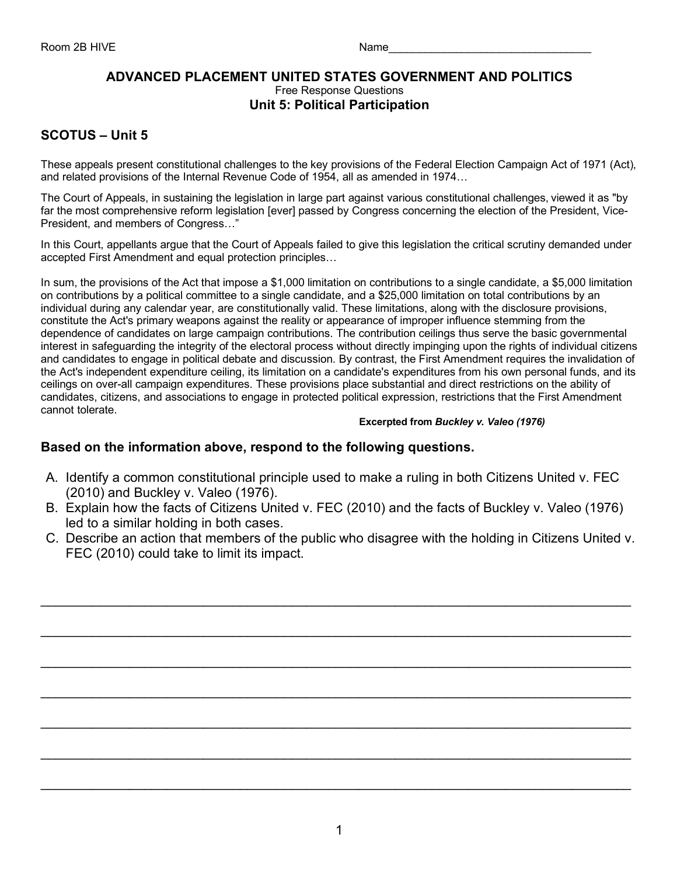### **ADVANCED PLACEMENT UNITED STATES GOVERNMENT AND POLITICS** Free Response Questions **Unit 5: Political Participation**

# **SCOTUS – Unit 5**

These appeals present constitutional challenges to the key provisions of the Federal Election Campaign Act of 1971 (Act), and related provisions of the Internal Revenue Code of 1954, all as amended in 1974…

The Court of Appeals, in sustaining the legislation in large part against various constitutional challenges, viewed it as "by far the most comprehensive reform legislation [ever] passed by Congress concerning the election of the President, Vice-President, and members of Congress…"

In this Court, appellants argue that the Court of Appeals failed to give this legislation the critical scrutiny demanded under accepted First Amendment and equal protection principles…

In sum, the provisions of the Act that impose a \$1,000 limitation on contributions to a single candidate, a \$5,000 limitation on contributions by a political committee to a single candidate, and a \$25,000 limitation on total contributions by an individual during any calendar year, are constitutionally valid. These limitations, along with the disclosure provisions, constitute the Act's primary weapons against the reality or appearance of improper influence stemming from the dependence of candidates on large campaign contributions. The contribution ceilings thus serve the basic governmental interest in safeguarding the integrity of the electoral process without directly impinging upon the rights of individual citizens and candidates to engage in political debate and discussion. By contrast, the First Amendment requires the invalidation of the Act's independent expenditure ceiling, its limitation on a candidate's expenditures from his own personal funds, and its ceilings on over-all campaign expenditures. These provisions place substantial and direct restrictions on the ability of candidates, citizens, and associations to engage in protected political expression, restrictions that the First Amendment cannot tolerate.

#### **Excerpted from** *Buckley v. Valeo (1976)*

## **Based on the information above, respond to the following questions.**

- A. Identify a common constitutional principle used to make a ruling in both Citizens United v. FEC (2010) and Buckley v. Valeo (1976).
- B. Explain how the facts of Citizens United v. FEC (2010) and the facts of Buckley v. Valeo (1976) led to a similar holding in both cases.
- C. Describe an action that members of the public who disagree with the holding in Citizens United v. FEC (2010) could take to limit its impact.

 $\mathcal{L}_\text{max} = \frac{1}{2} \sum_{i=1}^{n} \frac{1}{2} \sum_{i=1}^{n} \frac{1}{2} \sum_{i=1}^{n} \frac{1}{2} \sum_{i=1}^{n} \frac{1}{2} \sum_{i=1}^{n} \frac{1}{2} \sum_{i=1}^{n} \frac{1}{2} \sum_{i=1}^{n} \frac{1}{2} \sum_{i=1}^{n} \frac{1}{2} \sum_{i=1}^{n} \frac{1}{2} \sum_{i=1}^{n} \frac{1}{2} \sum_{i=1}^{n} \frac{1}{2} \sum_{i=1}^{n} \frac{1$ 

\_\_\_\_\_\_\_\_\_\_\_\_\_\_\_\_\_\_\_\_\_\_\_\_\_\_\_\_\_\_\_\_\_\_\_\_\_\_\_\_\_\_\_\_\_\_\_\_\_\_\_\_\_\_\_\_\_\_\_\_\_\_\_\_\_\_\_\_\_\_\_\_\_\_\_\_\_\_\_\_

 $\mathcal{L}_\text{max} = \frac{1}{2} \sum_{i=1}^{n} \frac{1}{2} \sum_{i=1}^{n} \frac{1}{2} \sum_{i=1}^{n} \frac{1}{2} \sum_{i=1}^{n} \frac{1}{2} \sum_{i=1}^{n} \frac{1}{2} \sum_{i=1}^{n} \frac{1}{2} \sum_{i=1}^{n} \frac{1}{2} \sum_{i=1}^{n} \frac{1}{2} \sum_{i=1}^{n} \frac{1}{2} \sum_{i=1}^{n} \frac{1}{2} \sum_{i=1}^{n} \frac{1}{2} \sum_{i=1}^{n} \frac{1$ 

\_\_\_\_\_\_\_\_\_\_\_\_\_\_\_\_\_\_\_\_\_\_\_\_\_\_\_\_\_\_\_\_\_\_\_\_\_\_\_\_\_\_\_\_\_\_\_\_\_\_\_\_\_\_\_\_\_\_\_\_\_\_\_\_\_\_\_\_\_\_\_\_\_\_\_\_\_\_\_\_

\_\_\_\_\_\_\_\_\_\_\_\_\_\_\_\_\_\_\_\_\_\_\_\_\_\_\_\_\_\_\_\_\_\_\_\_\_\_\_\_\_\_\_\_\_\_\_\_\_\_\_\_\_\_\_\_\_\_\_\_\_\_\_\_\_\_\_\_\_\_\_\_\_\_\_\_\_\_\_\_

\_\_\_\_\_\_\_\_\_\_\_\_\_\_\_\_\_\_\_\_\_\_\_\_\_\_\_\_\_\_\_\_\_\_\_\_\_\_\_\_\_\_\_\_\_\_\_\_\_\_\_\_\_\_\_\_\_\_\_\_\_\_\_\_\_\_\_\_\_\_\_\_\_\_\_\_\_\_\_\_

 $\mathcal{L}_\text{max} = \frac{1}{2} \sum_{i=1}^{n} \frac{1}{2} \sum_{i=1}^{n} \frac{1}{2} \sum_{i=1}^{n} \frac{1}{2} \sum_{i=1}^{n} \frac{1}{2} \sum_{i=1}^{n} \frac{1}{2} \sum_{i=1}^{n} \frac{1}{2} \sum_{i=1}^{n} \frac{1}{2} \sum_{i=1}^{n} \frac{1}{2} \sum_{i=1}^{n} \frac{1}{2} \sum_{i=1}^{n} \frac{1}{2} \sum_{i=1}^{n} \frac{1}{2} \sum_{i=1}^{n} \frac{1$